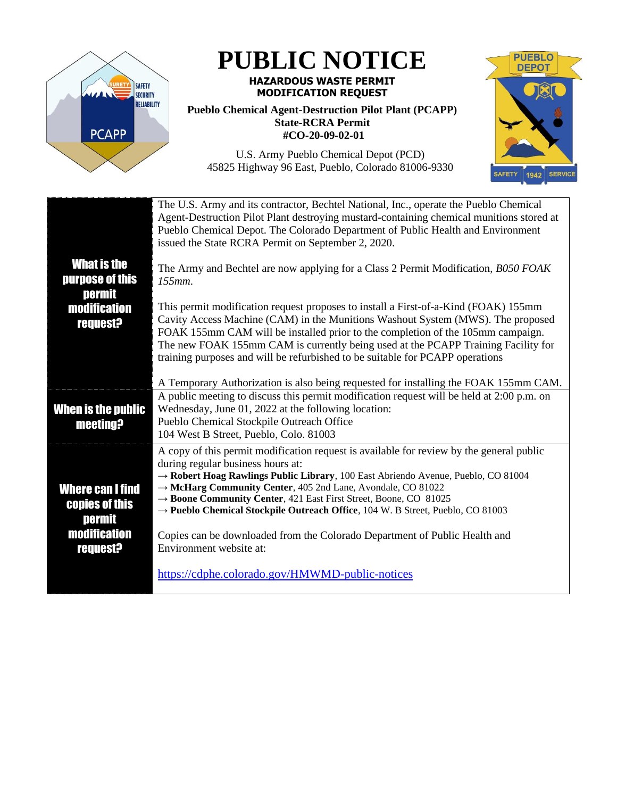

**PUBLIC NOTICE**

## **HAZARDOUS WASTE PERMIT MODIFICATION REQUEST**

## **Pueblo Chemical Agent-Destruction Pilot Plant (PCAPP) State-RCRA Permit #CO-20-09-02-01**

SAFETY 1942 SERVICE

**PUEBLO DEPOT** 

U.S. Army Pueblo Chemical Depot (PCD) 45825 Highway 96 East, Pueblo, Colorado 81006-9330

|                                                                                                      | The U.S. Army and its contractor, Bechtel National, Inc., operate the Pueblo Chemical<br>Agent-Destruction Pilot Plant destroying mustard-containing chemical munitions stored at<br>Pueblo Chemical Depot. The Colorado Department of Public Health and Environment<br>issued the State RCRA Permit on September 2, 2020.                                                                                                                                                                                                                                   |
|------------------------------------------------------------------------------------------------------|--------------------------------------------------------------------------------------------------------------------------------------------------------------------------------------------------------------------------------------------------------------------------------------------------------------------------------------------------------------------------------------------------------------------------------------------------------------------------------------------------------------------------------------------------------------|
| <b>What is the</b><br>purpose of this<br><b>permit</b>                                               | The Army and Bechtel are now applying for a Class 2 Permit Modification, B050 FOAK<br>$155mm$ .                                                                                                                                                                                                                                                                                                                                                                                                                                                              |
| <b>modification</b><br><b>request?</b>                                                               | This permit modification request proposes to install a First-of-a-Kind (FOAK) 155mm<br>Cavity Access Machine (CAM) in the Munitions Washout System (MWS). The proposed<br>FOAK 155mm CAM will be installed prior to the completion of the 105mm campaign.<br>The new FOAK 155mm CAM is currently being used at the PCAPP Training Facility for<br>training purposes and will be refurbished to be suitable for PCAPP operations                                                                                                                              |
|                                                                                                      | A Temporary Authorization is also being requested for installing the FOAK 155mm CAM.                                                                                                                                                                                                                                                                                                                                                                                                                                                                         |
| When is the public<br><b>meeting?</b>                                                                | A public meeting to discuss this permit modification request will be held at 2:00 p.m. on<br>Wednesday, June 01, 2022 at the following location:<br>Pueblo Chemical Stockpile Outreach Office<br>104 West B Street, Pueblo, Colo. 81003                                                                                                                                                                                                                                                                                                                      |
| <b>Where can I find</b><br><b>copies of this</b><br>permit<br><b>modification</b><br><b>request?</b> | A copy of this permit modification request is available for review by the general public<br>during regular business hours at:<br>$\rightarrow$ Robert Hoag Rawlings Public Library, 100 East Abriendo Avenue, Pueblo, CO 81004<br>→ McHarg Community Center, 405 2nd Lane, Avondale, CO 81022<br>→ Boone Community Center, 421 East First Street, Boone, CO 81025<br>→ Pueblo Chemical Stockpile Outreach Office, 104 W. B Street, Pueblo, CO 81003<br>Copies can be downloaded from the Colorado Department of Public Health and<br>Environment website at: |
|                                                                                                      | https://cdphe.colorado.gov/HMWMD-public-notices                                                                                                                                                                                                                                                                                                                                                                                                                                                                                                              |